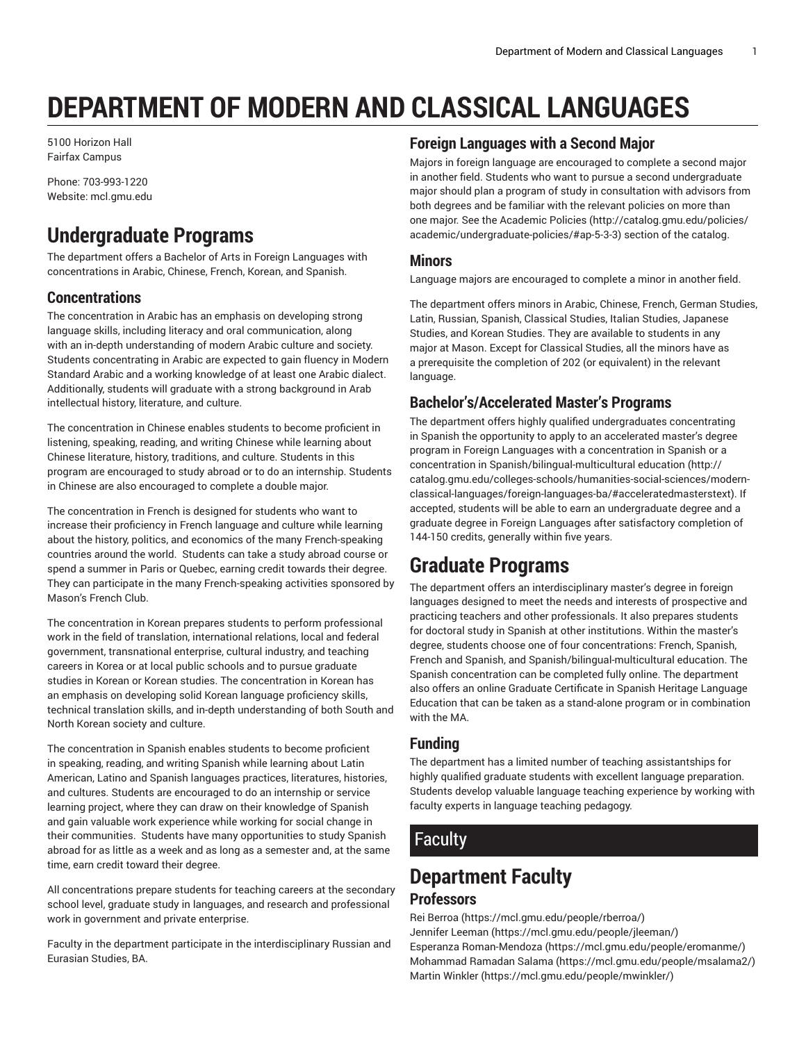# **DEPARTMENT OF MODERN AND CLASSICAL LANGUAGES**

5100 Horizon Hall Fairfax Campus

Phone: 703-993-1220 Website: mcl.gmu.edu

## **Undergraduate Programs**

The department offers a Bachelor of Arts in Foreign Languages with concentrations in Arabic, Chinese, French, Korean, and Spanish.

#### **Concentrations**

The concentration in Arabic has an emphasis on developing strong language skills, including literacy and oral communication, along with an in-depth understanding of modern Arabic culture and society. Students concentrating in Arabic are expected to gain fluency in Modern Standard Arabic and a working knowledge of at least one Arabic dialect. Additionally, students will graduate with a strong background in Arab intellectual history, literature, and culture.

The concentration in Chinese enables students to become proficient in listening, speaking, reading, and writing Chinese while learning about Chinese literature, history, traditions, and culture. Students in this program are encouraged to study abroad or to do an internship. Students in Chinese are also encouraged to complete a double major.

The concentration in French is designed for students who want to increase their proficiency in French language and culture while learning about the history, politics, and economics of the many French-speaking countries around the world. Students can take a study abroad course or spend a summer in Paris or Quebec, earning credit towards their degree. They can participate in the many French-speaking activities sponsored by Mason's French Club.

The concentration in Korean prepares students to perform professional work in the field of translation, international relations, local and federal government, transnational enterprise, cultural industry, and teaching careers in Korea or at local public schools and to pursue graduate studies in Korean or Korean studies. The concentration in Korean has an emphasis on developing solid Korean language proficiency skills, technical translation skills, and in-depth understanding of both South and North Korean society and culture.

The concentration in Spanish enables students to become proficient in speaking, reading, and writing Spanish while learning about Latin American, Latino and Spanish languages practices, literatures, histories, and cultures. Students are encouraged to do an internship or service learning project, where they can draw on their knowledge of Spanish and gain valuable work experience while working for social change in their communities. Students have many opportunities to study Spanish abroad for as little as a week and as long as a semester and, at the same time, earn credit toward their degree.

All concentrations prepare students for teaching careers at the secondary school level, graduate study in languages, and research and professional work in government and private enterprise.

Faculty in the department participate in the interdisciplinary Russian and Eurasian Studies, BA.

#### **Foreign Languages with a Second Major**

Majors in foreign language are encouraged to complete a second major in another field. Students who want to pursue a second undergraduate major should plan a program of study in consultation with advisors from both degrees and be familiar with the relevant policies on more than one major. See the [Academic](http://catalog.gmu.edu/policies/academic/undergraduate-policies/#ap-5-3-3) Policies ([http://catalog.gmu.edu/policies/](http://catalog.gmu.edu/policies/academic/undergraduate-policies/#ap-5-3-3) [academic/undergraduate-policies/#ap-5-3-3\)](http://catalog.gmu.edu/policies/academic/undergraduate-policies/#ap-5-3-3) section of the catalog.

#### **Minors**

Language majors are encouraged to complete a minor in another field.

The department offers minors in Arabic, Chinese, French, German Studies, Latin, Russian, Spanish, Classical Studies, Italian Studies, Japanese Studies, and Korean Studies. They are available to students in any major at Mason. Except for Classical Studies, all the minors have as a prerequisite the completion of 202 (or equivalent) in the relevant language.

#### **Bachelor's/Accelerated Master's Programs**

The department offers highly qualified undergraduates concentrating in Spanish the opportunity to apply to an [accelerated](http://catalog.gmu.edu/colleges-schools/humanities-social-sciences/modern-classical-languages/foreign-languages-ba/#acceleratedmasterstext) master's degree program in Foreign Languages with a [concentration](http://catalog.gmu.edu/colleges-schools/humanities-social-sciences/modern-classical-languages/foreign-languages-ba/#acceleratedmasterstext) in Spanish or a [concentration in Spanish/bilingual-multicultural education \(http://](http://catalog.gmu.edu/colleges-schools/humanities-social-sciences/modern-classical-languages/foreign-languages-ba/#acceleratedmasterstext) [catalog.gmu.edu/colleges-schools/humanities-social-sciences/modern](http://catalog.gmu.edu/colleges-schools/humanities-social-sciences/modern-classical-languages/foreign-languages-ba/#acceleratedmasterstext)[classical-languages/foreign-languages-ba/#acceleratedmasterstext](http://catalog.gmu.edu/colleges-schools/humanities-social-sciences/modern-classical-languages/foreign-languages-ba/#acceleratedmasterstext)). If accepted, students will be able to earn an undergraduate degree and a graduate degree in Foreign Languages after satisfactory completion of 144-150 credits, generally within five years.

### **Graduate Programs**

The department offers an interdisciplinary master's degree in foreign languages designed to meet the needs and interests of prospective and practicing teachers and other professionals. It also prepares students for doctoral study in Spanish at other institutions. Within the master's degree, students choose one of four concentrations: French, Spanish, French and Spanish, and Spanish/bilingual-multicultural education. The Spanish concentration can be completed fully online. The department also offers an online Graduate Certificate in Spanish Heritage Language Education that can be taken as a stand-alone program or in combination with the MA.

#### **Funding**

The department has a limited number of teaching assistantships for highly qualified graduate students with excellent language preparation. Students develop valuable language teaching experience by working with faculty experts in language teaching pedagogy.

### **Faculty**

# **Department Faculty**

#### **Professors**

Rei [Berroa \(https://mcl.gmu.edu/people/rberroa/](https://mcl.gmu.edu/people/rberroa/)) [Jennifer](https://mcl.gmu.edu/people/jleeman/) Leeman [\(https://mcl.gmu.edu/people/jleeman/\)](https://mcl.gmu.edu/people/jleeman/) Esperanza [Roman-Mendoza](https://mcl.gmu.edu/people/eromanme/) ([https://mcl.gmu.edu/people/eromanme/\)](https://mcl.gmu.edu/people/eromanme/) [Mohammad Ramadan Salama \(https://mcl.gmu.edu/people/msalama2/](https://mcl.gmu.edu/people/msalama2/)) Martin [Winkler \(https://mcl.gmu.edu/people/mwinkler/](https://mcl.gmu.edu/people/mwinkler/))